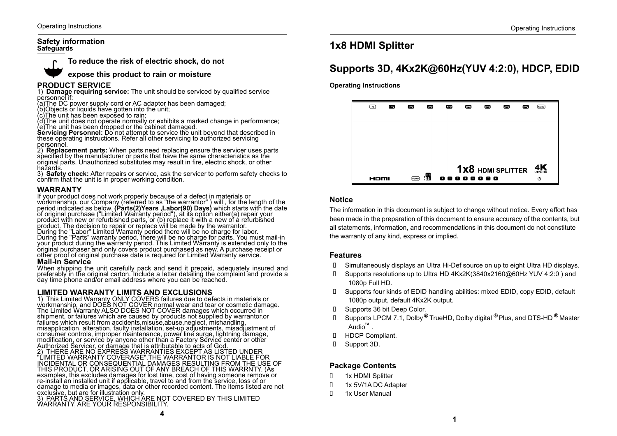#### **Safety information Safeguards**



**To reduce the risk of electric shock, do not**

**expose this product to rain or moisture**

#### **PRODUCT SERVICE**

1) **Damage requiring service:** The unit should be serviced by qualified service personnel if:

(a)The DC power supply cord or AC adaptor has been damaged;

(b)Objects or liquids have gotten into the unit;

(c)The unit has been exposed to rain;

(d)The unit does not operate normally or exhibits a marked change in performance; (e)The unit has been dropped or the cabinet damaged.

**Servicing Personnel:** Do not attempt to service the unit beyond that described in these operating instructions. Refer all other servicing to authorized servicing personnel.

2) **Replacement parts:** When parts need replacing ensure the servicer uses parts specified by the manufacturer or parts that have the same characteristics as the original parts. Unauthorized substitutes may result in fire, electric shock, or other hazards.

3) **Safety check:** After repairs or service, ask the servicer to perform safety checks to confirm that the unit is in proper working condition.

#### **WARRANTY**

If your product does not work properly because of a defect in materials or workmanship, our Company (referred to as "the warrantor" ) will , for the length of the period indicated as below, **(Parts(2)Years ,Labor(90) Days)** which starts with the date<br>of original purchase ("Limited Warranty period"), at its option either(a) repair your<br>product with new or refurbished parts, or (b) re product. The decision to repair or replace will be made by the warrantor. During the "Labor" Limited Warranty period there will be no charge for labor. During the "Parts" warranty period, there will be no charge for parts. You must mail-in your product during the warranty period. This Limited Warranty is extended only to the original purchaser and only covers product purchased as new. A purchase receipt or other proof of original purchase date is required for Limited Warranty service.

#### **Mail-In Service**

When shipping the unit carefully pack and send it prepaid, adequately insured and preferably in the original carton. Include a letter detailing the complaint and provide a day time phone and/or email address where you can be reached.

#### **LIMITED WARRANTY LIMITS AND EXCLUSIONS**

1) This Limited Warranty ONLY COVERS failures due to defects in materials or workmanship, and DOES NOT COVER normal wear and tear or cosmetic damage. The Limited Warranty ALSO DOES NOT COVER damages which occurred in shipment, or failures which are caused by products not supplied by warrantor,or failures which result from accidents,misuse,abuse,neglect, mishandling, misapplication, alteration, faulty installation, set-up adjustments, misadjustment of consumer controls, improper maintenance, power line surge, lightning damage, modification, or service by anyone other than a Factory Service center or other

Authorized Servicer, or damage that is attributable to acts of God. 2) THERE ARE NO EXPRESS WARRANTIES EXCEPT AS LISTED UNDER "LIMITED WARRANTY COVERAGE".THE WARRANTOR IS NOT LIABLE FOR INCIDENTAL OR CONSEQUENTIAL DAMAGES RESULTING FROM THE USE OF THIS PRODUCT, OR ARISING OUT OF ANY BREACH OF THIS WARRNTY. (As examples, this excludes damages for lost time, cost of having someone remove or re-install an installed unit if applicable, travel to and from the service, loss of or damage to media or images, data or other recorded content. The items listed are not exclusive, but are for illustration only.

3) PARTS AND SERVICE, WHICH ARE NOT COVERED BY THIS LIMITED WARRANTY, ARE YOUR RESPONSIBILITY.

## **1x8 HDMI Splitter**

## **Supports 3D, 4Kx2K@60Hz(YUV 4:2:0), HDCP, EDID**

**Operating Instructions**



#### **Notice**

The information in this document is subject to change without notice. Every effort has been made in the preparation of this document to ensure accuracy of the contents, but all statements, information, and recommendations in this document do not constitute the warranty of any kind, express or implied.

#### **Features**

- Simultaneously displays an UItra Hi-Def source on up to eight UItra HD displays.
- Supports resolutions up to UItra HD 4Kx2K(3840x2160@60Hz YUV 4:2:0 ) and 1080p Full HD.
- Supports four kinds of EDID handling abilities: mixed EDID, copy EDID, default 1080p output, default 4Kx2K output.
- Supports 36 bit Deep Color.
- $\Box$  Supports LPCM 7.1, Dolby  $^\circledR$  TrueHD, Dolby digital  $^\circledR$  Plus, and DTS-HD  $^\circledR$  Master Audio<sup>™</sup>.
- HDCP Compliant.
- Support 3D.

#### **Package Contents**

- 1x HDMI Splitter
- 1x 5V/1A DC Adapter
- 1x User Manual